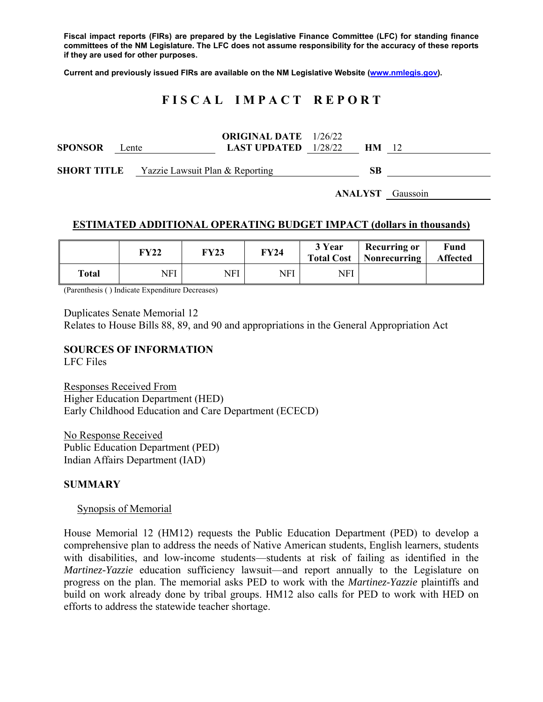**Fiscal impact reports (FIRs) are prepared by the Legislative Finance Committee (LFC) for standing finance committees of the NM Legislature. The LFC does not assume responsibility for the accuracy of these reports if they are used for other purposes.** 

**Current and previously issued FIRs are available on the NM Legislative Website (www.nmlegis.gov).** 

# **F I S C A L I M P A C T R E P O R T**

| <b>SPONSOR</b>     | Lente |                                 | <b>ORIGINAL DATE</b> 1/26/22<br><b>LAST UPDATED</b> $1/28/22$ |    |  |
|--------------------|-------|---------------------------------|---------------------------------------------------------------|----|--|
| <b>SHORT TITLE</b> |       | Yazzie Lawsuit Plan & Reporting |                                                               | SВ |  |

**ANALYST** Gaussoin

#### **ESTIMATED ADDITIONAL OPERATING BUDGET IMPACT (dollars in thousands)**

|       | FY22 | <b>FY23</b> | <b>FY24</b> | 3 Year | <b>Recurring or</b><br><b>Total Cost</b>   Nonrecurring | Fund<br><b>Affected</b> |
|-------|------|-------------|-------------|--------|---------------------------------------------------------|-------------------------|
| Total | NFI  | NFI         | NFI         | NFI    |                                                         |                         |

(Parenthesis ( ) Indicate Expenditure Decreases)

Duplicates Senate Memorial 12

Relates to House Bills 88, 89, and 90 and appropriations in the General Appropriation Act

#### **SOURCES OF INFORMATION**

LFC Files

Responses Received From Higher Education Department (HED) Early Childhood Education and Care Department (ECECD)

No Response Received Public Education Department (PED) Indian Affairs Department (IAD)

#### **SUMMARY**

#### Synopsis of Memorial

House Memorial 12 (HM12) requests the Public Education Department (PED) to develop a comprehensive plan to address the needs of Native American students, English learners, students with disabilities, and low-income students—students at risk of failing as identified in the *Martinez-Yazzie* education sufficiency lawsuit—and report annually to the Legislature on progress on the plan. The memorial asks PED to work with the *Martinez-Yazzie* plaintiffs and build on work already done by tribal groups. HM12 also calls for PED to work with HED on efforts to address the statewide teacher shortage.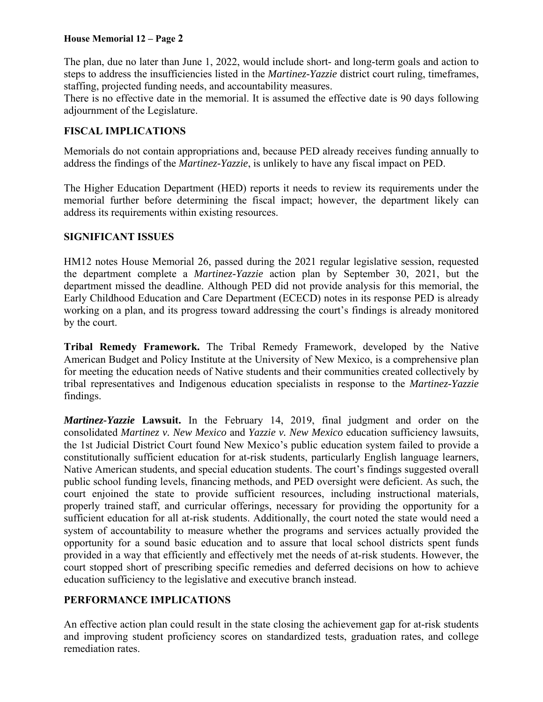#### **House Memorial 12 – Page 2**

The plan, due no later than June 1, 2022, would include short- and long-term goals and action to steps to address the insufficiencies listed in the *Martinez-Yazzie* district court ruling, timeframes, staffing, projected funding needs, and accountability measures.

There is no effective date in the memorial. It is assumed the effective date is 90 days following adjournment of the Legislature.

## **FISCAL IMPLICATIONS**

Memorials do not contain appropriations and, because PED already receives funding annually to address the findings of the *Martinez-Yazzie*, is unlikely to have any fiscal impact on PED.

The Higher Education Department (HED) reports it needs to review its requirements under the memorial further before determining the fiscal impact; however, the department likely can address its requirements within existing resources.

### **SIGNIFICANT ISSUES**

HM12 notes House Memorial 26, passed during the 2021 regular legislative session, requested the department complete a *Martinez-Yazzie* action plan by September 30, 2021, but the department missed the deadline. Although PED did not provide analysis for this memorial, the Early Childhood Education and Care Department (ECECD) notes in its response PED is already working on a plan, and its progress toward addressing the court's findings is already monitored by the court.

**Tribal Remedy Framework.** The Tribal Remedy Framework, developed by the Native American Budget and Policy Institute at the University of New Mexico, is a comprehensive plan for meeting the education needs of Native students and their communities created collectively by tribal representatives and Indigenous education specialists in response to the *Martinez-Yazzie* findings.

*Martinez-Yazzie* **Lawsuit.** In the February 14, 2019, final judgment and order on the consolidated *Martinez v. New Mexico* and *Yazzie v. New Mexico* education sufficiency lawsuits, the 1st Judicial District Court found New Mexico's public education system failed to provide a constitutionally sufficient education for at-risk students, particularly English language learners, Native American students, and special education students. The court's findings suggested overall public school funding levels, financing methods, and PED oversight were deficient. As such, the court enjoined the state to provide sufficient resources, including instructional materials, properly trained staff, and curricular offerings, necessary for providing the opportunity for a sufficient education for all at-risk students. Additionally, the court noted the state would need a system of accountability to measure whether the programs and services actually provided the opportunity for a sound basic education and to assure that local school districts spent funds provided in a way that efficiently and effectively met the needs of at-risk students. However, the court stopped short of prescribing specific remedies and deferred decisions on how to achieve education sufficiency to the legislative and executive branch instead.

# **PERFORMANCE IMPLICATIONS**

An effective action plan could result in the state closing the achievement gap for at-risk students and improving student proficiency scores on standardized tests, graduation rates, and college remediation rates.